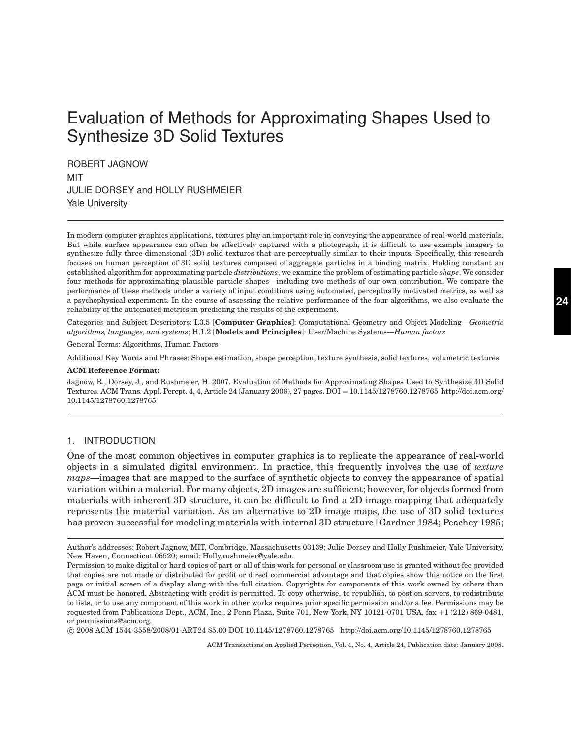# Evaluation of Methods for Approximating Shapes Used to Synthesize 3D Solid Textures

ROBERT JAGNOW MIT JULIE DORSEY and HOLLY RUSHMEIER Yale University

In modern computer graphics applications, textures play an important role in conveying the appearance of real-world materials. But while surface appearance can often be effectively captured with a photograph, it is difficult to use example imagery to synthesize fully three-dimensional (3D) solid textures that are perceptually similar to their inputs. Specifically, this research focuses on human perception of 3D solid textures composed of aggregate particles in a binding matrix. Holding constant an established algorithm for approximating particle *distributions*, we examine the problem of estimating particle *shape*. We consider four methods for approximating plausible particle shapes—including two methods of our own contribution. We compare the performance of these methods under a variety of input conditions using automated, perceptually motivated metrics, as well as a psychophysical experiment. In the course of assessing the relative performance of the four algorithms, we also evaluate the reliability of the automated metrics in predicting the results of the experiment.

Categories and Subject Descriptors: I.3.5 [**Computer Graphics**]: Computational Geometry and Object Modeling—*Geometric algorithms, languages, and systems*; H.1.2 [**Models and Principles**]: User/Machine Systems—*Human factors*

General Terms: Algorithms, Human Factors

Additional Key Words and Phrases: Shape estimation, shape perception, texture synthesis, solid textures, volumetric textures

#### **ACM Reference Format:**

Jagnow, R., Dorsey, J., and Rushmeier, H. 2007. Evaluation of Methods for Approximating Shapes Used to Synthesize 3D Solid Textures. ACM Trans. Appl. Percpt. 4, 4, Article 24 (January 2008), 27 pages. DOI = 10.1145/1278760.1278765 http://doi.acm.org/ 10.1145/1278760.1278765

## 1. INTRODUCTION

One of the most common objectives in computer graphics is to replicate the appearance of real-world objects in a simulated digital environment. In practice, this frequently involves the use of *texture maps*—images that are mapped to the surface of synthetic objects to convey the appearance of spatial variation within a material. For many objects, 2D images are sufficient; however, for objects formed from materials with inherent 3D structure, it can be difficult to find a 2D image mapping that adequately represents the material variation. As an alternative to 2D image maps, the use of 3D solid textures has proven successful for modeling materials with internal 3D structure [Gardner 1984; Peachey 1985;

Author's addresses: Robert Jagnow, MIT, Combridge, Massachusetts 03139; Julie Dorsey and Holly Rushmeier, Yale University, New Haven, Connecticut 06520; email: Holly.rushmeier@yale.edu.

Permission to make digital or hard copies of part or all of this work for personal or classroom use is granted without fee provided that copies are not made or distributed for profit or direct commercial advantage and that copies show this notice on the first page or initial screen of a display along with the full citation. Copyrights for components of this work owned by others than ACM must be honored. Abstracting with credit is permitted. To copy otherwise, to republish, to post on servers, to redistribute to lists, or to use any component of this work in other works requires prior specific permission and/or a fee. Permissions may be requested from Publications Dept., ACM, Inc., 2 Penn Plaza, Suite 701, New York, NY 10121-0701 USA, fax +1 (212) 869-0481, or permissions@acm.org.

<sup>-</sup>c 2008 ACM 1544-3558/2008/01-ART24 \$5.00 DOI 10.1145/1278760.1278765 http://doi.acm.org/10.1145/1278760.1278765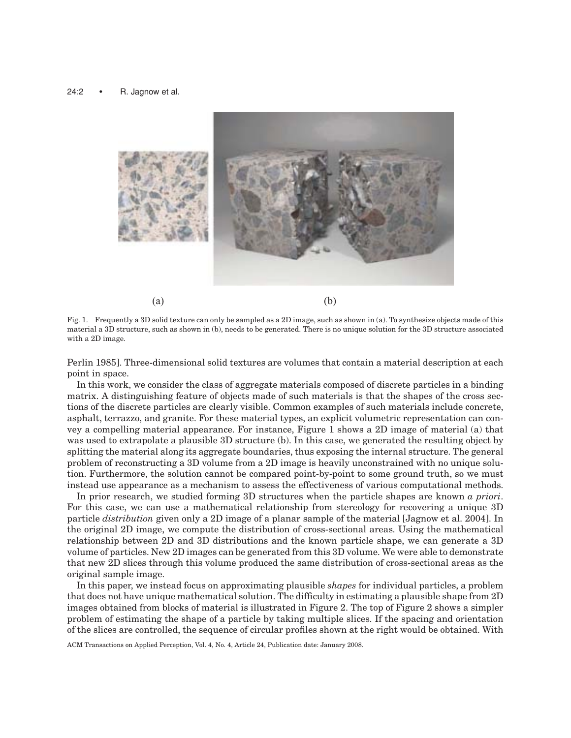#### 24:2 • R. Jagnow et al.



Fig. 1. Frequently a 3D solid texture can only be sampled as a 2D image, such as shown in (a). To synthesize objects made of this material a 3D structure, such as shown in (b), needs to be generated. There is no unique solution for the 3D structure associated with a 2D image.

Perlin 1985]. Three-dimensional solid textures are volumes that contain a material description at each point in space.

In this work, we consider the class of aggregate materials composed of discrete particles in a binding matrix. A distinguishing feature of objects made of such materials is that the shapes of the cross sections of the discrete particles are clearly visible. Common examples of such materials include concrete, asphalt, terrazzo, and granite. For these material types, an explicit volumetric representation can convey a compelling material appearance. For instance, Figure 1 shows a 2D image of material (a) that was used to extrapolate a plausible 3D structure (b). In this case, we generated the resulting object by splitting the material along its aggregate boundaries, thus exposing the internal structure. The general problem of reconstructing a 3D volume from a 2D image is heavily unconstrained with no unique solution. Furthermore, the solution cannot be compared point-by-point to some ground truth, so we must instead use appearance as a mechanism to assess the effectiveness of various computational methods.

In prior research, we studied forming 3D structures when the particle shapes are known *a priori*. For this case, we can use a mathematical relationship from stereology for recovering a unique 3D particle *distribution* given only a 2D image of a planar sample of the material [Jagnow et al. 2004]. In the original 2D image, we compute the distribution of cross-sectional areas. Using the mathematical relationship between 2D and 3D distributions and the known particle shape, we can generate a 3D volume of particles. New 2D images can be generated from this 3D volume. We were able to demonstrate that new 2D slices through this volume produced the same distribution of cross-sectional areas as the original sample image.

In this paper, we instead focus on approximating plausible *shapes* for individual particles, a problem that does not have unique mathematical solution. The difficulty in estimating a plausible shape from 2D images obtained from blocks of material is illustrated in Figure 2. The top of Figure 2 shows a simpler problem of estimating the shape of a particle by taking multiple slices. If the spacing and orientation of the slices are controlled, the sequence of circular profiles shown at the right would be obtained. With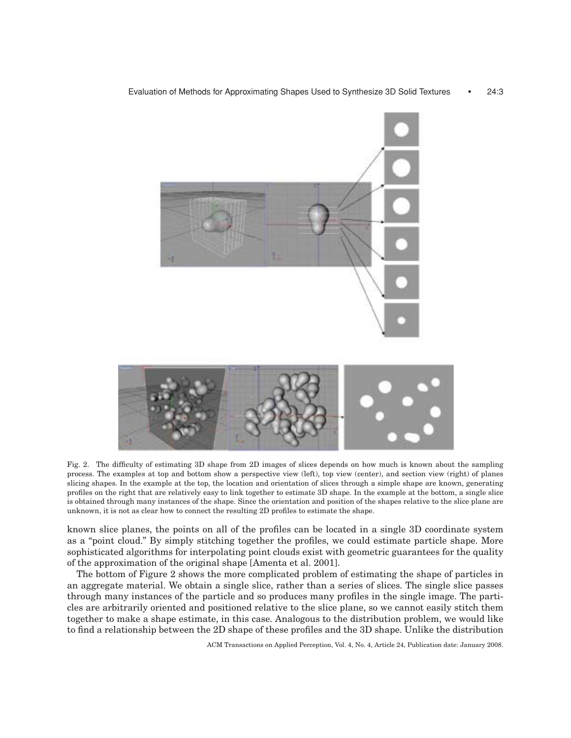

Fig. 2. The difficulty of estimating 3D shape from 2D images of slices depends on how much is known about the sampling process. The examples at top and bottom show a perspective view (left), top view (center), and section view (right) of planes slicing shapes. In the example at the top, the location and orientation of slices through a simple shape are known, generating profiles on the right that are relatively easy to link together to estimate 3D shape. In the example at the bottom, a single slice is obtained through many instances of the shape. Since the orientation and position of the shapes relative to the slice plane are unknown, it is not as clear how to connect the resulting 2D profiles to estimate the shape.

known slice planes, the points on all of the profiles can be located in a single 3D coordinate system as a "point cloud." By simply stitching together the profiles, we could estimate particle shape. More sophisticated algorithms for interpolating point clouds exist with geometric guarantees for the quality of the approximation of the original shape [Amenta et al. 2001].

The bottom of Figure 2 shows the more complicated problem of estimating the shape of particles in an aggregate material. We obtain a single slice, rather than a series of slices. The single slice passes through many instances of the particle and so produces many profiles in the single image. The particles are arbitrarily oriented and positioned relative to the slice plane, so we cannot easily stitch them together to make a shape estimate, in this case. Analogous to the distribution problem, we would like to find a relationship between the 2D shape of these profiles and the 3D shape. Unlike the distribution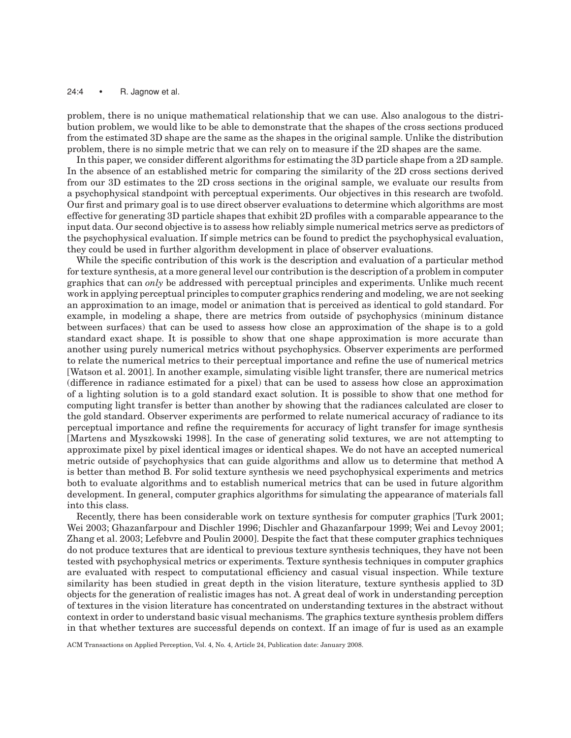#### 24:4 • R. Jagnow et al.

problem, there is no unique mathematical relationship that we can use. Also analogous to the distribution problem, we would like to be able to demonstrate that the shapes of the cross sections produced from the estimated 3D shape are the same as the shapes in the original sample. Unlike the distribution problem, there is no simple metric that we can rely on to measure if the 2D shapes are the same.

In this paper, we consider different algorithms for estimating the 3D particle shape from a 2D sample. In the absence of an established metric for comparing the similarity of the 2D cross sections derived from our 3D estimates to the 2D cross sections in the original sample, we evaluate our results from a psychophysical standpoint with perceptual experiments. Our objectives in this research are twofold. Our first and primary goal is to use direct observer evaluations to determine which algorithms are most effective for generating 3D particle shapes that exhibit 2D profiles with a comparable appearance to the input data. Our second objective is to assess how reliably simple numerical metrics serve as predictors of the psychophysical evaluation. If simple metrics can be found to predict the psychophysical evaluation, they could be used in further algorithm development in place of observer evaluations.

While the specific contribution of this work is the description and evaluation of a particular method for texture synthesis, at a more general level our contribution is the description of a problem in computer graphics that can *only* be addressed with perceptual principles and experiments. Unlike much recent work in applying perceptual principles to computer graphics rendering and modeling, we are not seeking an approximation to an image, model or animation that is perceived as identical to gold standard. For example, in modeling a shape, there are metrics from outside of psychophysics (mininum distance between surfaces) that can be used to assess how close an approximation of the shape is to a gold standard exact shape. It is possible to show that one shape approximation is more accurate than another using purely numerical metrics without psychophysics. Observer experiments are performed to relate the numerical metrics to their perceptual importance and refine the use of numerical metrics [Watson et al. 2001]. In another example, simulating visible light transfer, there are numerical metrics (difference in radiance estimated for a pixel) that can be used to assess how close an approximation of a lighting solution is to a gold standard exact solution. It is possible to show that one method for computing light transfer is better than another by showing that the radiances calculated are closer to the gold standard. Observer experiments are performed to relate numerical accuracy of radiance to its perceptual importance and refine the requirements for accuracy of light transfer for image synthesis [Martens and Myszkowski 1998]. In the case of generating solid textures, we are not attempting to approximate pixel by pixel identical images or identical shapes. We do not have an accepted numerical metric outside of psychophysics that can guide algorithms and allow us to determine that method A is better than method B. For solid texture synthesis we need psychophysical experiments and metrics both to evaluate algorithms and to establish numerical metrics that can be used in future algorithm development. In general, computer graphics algorithms for simulating the appearance of materials fall into this class.

Recently, there has been considerable work on texture synthesis for computer graphics [Turk 2001; Wei 2003; Ghazanfarpour and Dischler 1996; Dischler and Ghazanfarpour 1999; Wei and Levoy 2001; Zhang et al. 2003; Lefebvre and Poulin 2000]. Despite the fact that these computer graphics techniques do not produce textures that are identical to previous texture synthesis techniques, they have not been tested with psychophysical metrics or experiments. Texture synthesis techniques in computer graphics are evaluated with respect to computational efficiency and casual visual inspection. While texture similarity has been studied in great depth in the vision literature, texture synthesis applied to 3D objects for the generation of realistic images has not. A great deal of work in understanding perception of textures in the vision literature has concentrated on understanding textures in the abstract without context in order to understand basic visual mechanisms. The graphics texture synthesis problem differs in that whether textures are successful depends on context. If an image of fur is used as an example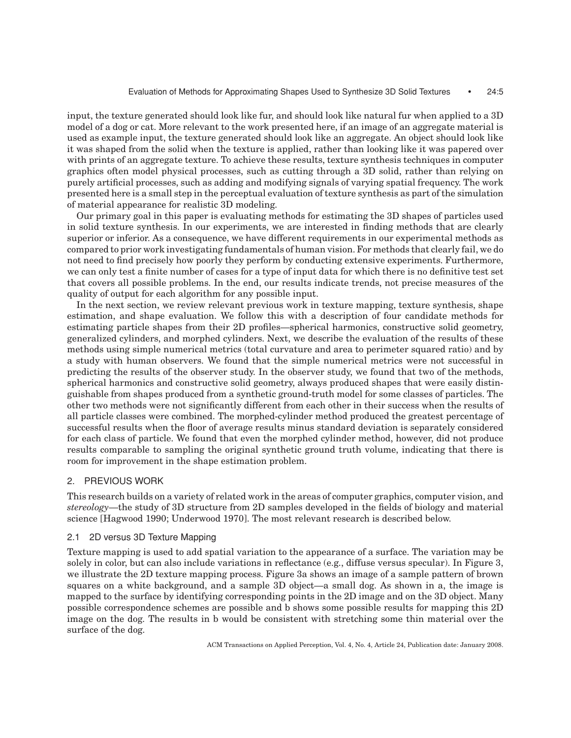input, the texture generated should look like fur, and should look like natural fur when applied to a 3D model of a dog or cat. More relevant to the work presented here, if an image of an aggregate material is used as example input, the texture generated should look like an aggregate. An object should look like it was shaped from the solid when the texture is applied, rather than looking like it was papered over with prints of an aggregate texture. To achieve these results, texture synthesis techniques in computer graphics often model physical processes, such as cutting through a 3D solid, rather than relying on purely artificial processes, such as adding and modifying signals of varying spatial frequency. The work presented here is a small step in the perceptual evaluation of texture synthesis as part of the simulation of material appearance for realistic 3D modeling.

Our primary goal in this paper is evaluating methods for estimating the 3D shapes of particles used in solid texture synthesis. In our experiments, we are interested in finding methods that are clearly superior or inferior. As a consequence, we have different requirements in our experimental methods as compared to prior work investigating fundamentals of human vision. For methods that clearly fail, we do not need to find precisely how poorly they perform by conducting extensive experiments. Furthermore, we can only test a finite number of cases for a type of input data for which there is no definitive test set that covers all possible problems. In the end, our results indicate trends, not precise measures of the quality of output for each algorithm for any possible input.

In the next section, we review relevant previous work in texture mapping, texture synthesis, shape estimation, and shape evaluation. We follow this with a description of four candidate methods for estimating particle shapes from their 2D profiles—spherical harmonics, constructive solid geometry, generalized cylinders, and morphed cylinders. Next, we describe the evaluation of the results of these methods using simple numerical metrics (total curvature and area to perimeter squared ratio) and by a study with human observers. We found that the simple numerical metrics were not successful in predicting the results of the observer study. In the observer study, we found that two of the methods, spherical harmonics and constructive solid geometry, always produced shapes that were easily distinguishable from shapes produced from a synthetic ground-truth model for some classes of particles. The other two methods were not significantly different from each other in their success when the results of all particle classes were combined. The morphed-cylinder method produced the greatest percentage of successful results when the floor of average results minus standard deviation is separately considered for each class of particle. We found that even the morphed cylinder method, however, did not produce results comparable to sampling the original synthetic ground truth volume, indicating that there is room for improvement in the shape estimation problem.

## 2. PREVIOUS WORK

This research builds on a variety of related work in the areas of computer graphics, computer vision, and *stereology*—the study of 3D structure from 2D samples developed in the fields of biology and material science [Hagwood 1990; Underwood 1970]. The most relevant research is described below.

## 2.1 2D versus 3D Texture Mapping

Texture mapping is used to add spatial variation to the appearance of a surface. The variation may be solely in color, but can also include variations in reflectance (e.g., diffuse versus specular). In Figure 3, we illustrate the 2D texture mapping process. Figure 3a shows an image of a sample pattern of brown squares on a white background, and a sample 3D object—a small dog. As shown in a, the image is mapped to the surface by identifying corresponding points in the 2D image and on the 3D object. Many possible correspondence schemes are possible and b shows some possible results for mapping this 2D image on the dog. The results in b would be consistent with stretching some thin material over the surface of the dog.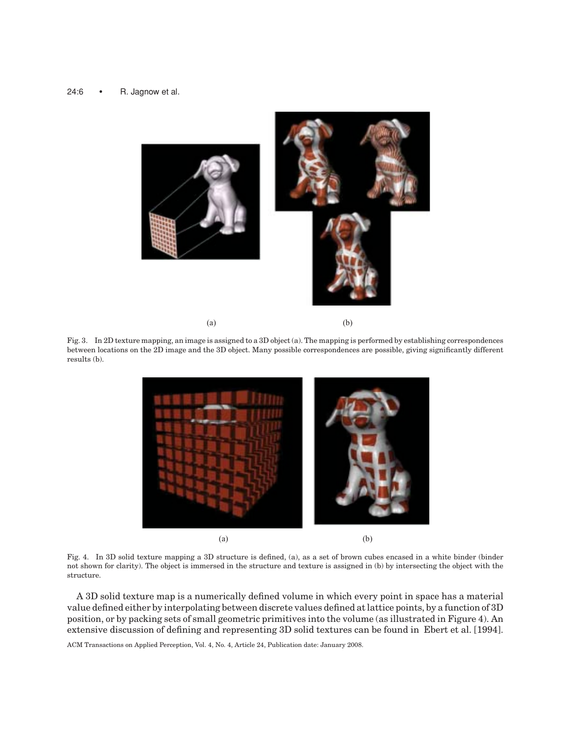# 24:6 • R. Jagnow et al.



Fig. 3. In 2D texture mapping, an image is assigned to a 3D object (a). The mapping is performed by establishing correspondences between locations on the 2D image and the 3D object. Many possible correspondences are possible, giving significantly different results (b).



Fig. 4. In 3D solid texture mapping a 3D structure is defined, (a), as a set of brown cubes encased in a white binder (binder not shown for clarity). The object is immersed in the structure and texture is assigned in (b) by intersecting the object with the structure.

A 3D solid texture map is a numerically defined volume in which every point in space has a material value defined either by interpolating between discrete values defined at lattice points, by a function of 3D position, or by packing sets of small geometric primitives into the volume (as illustrated in Figure 4). An extensive discussion of defining and representing 3D solid textures can be found in Ebert et al. [1994].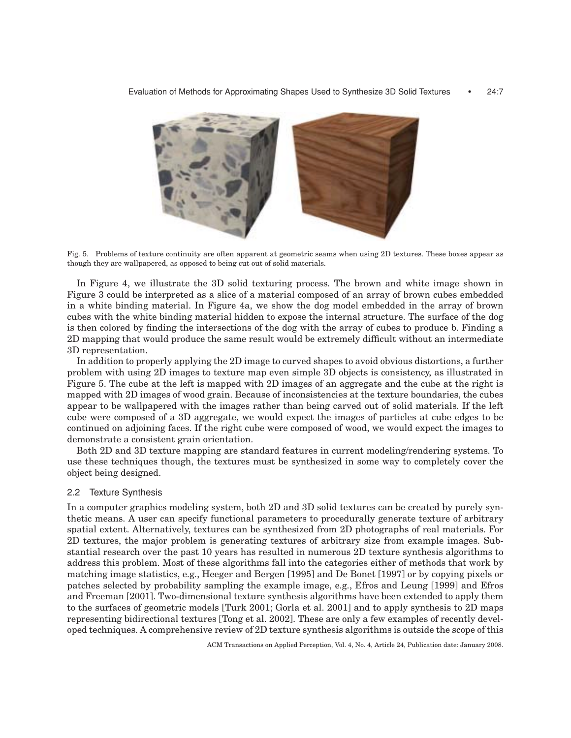Evaluation of Methods for Approximating Shapes Used to Synthesize 3D Solid Textures • 24:7



Fig. 5. Problems of texture continuity are often apparent at geometric seams when using 2D textures. These boxes appear as though they are wallpapered, as opposed to being cut out of solid materials.

In Figure 4, we illustrate the 3D solid texturing process. The brown and white image shown in Figure 3 could be interpreted as a slice of a material composed of an array of brown cubes embedded in a white binding material. In Figure 4a, we show the dog model embedded in the array of brown cubes with the white binding material hidden to expose the internal structure. The surface of the dog is then colored by finding the intersections of the dog with the array of cubes to produce b. Finding a 2D mapping that would produce the same result would be extremely difficult without an intermediate 3D representation.

In addition to properly applying the 2D image to curved shapes to avoid obvious distortions, a further problem with using 2D images to texture map even simple 3D objects is consistency, as illustrated in Figure 5. The cube at the left is mapped with 2D images of an aggregate and the cube at the right is mapped with 2D images of wood grain. Because of inconsistencies at the texture boundaries, the cubes appear to be wallpapered with the images rather than being carved out of solid materials. If the left cube were composed of a 3D aggregate, we would expect the images of particles at cube edges to be continued on adjoining faces. If the right cube were composed of wood, we would expect the images to demonstrate a consistent grain orientation.

Both 2D and 3D texture mapping are standard features in current modeling/rendering systems. To use these techniques though, the textures must be synthesized in some way to completely cover the object being designed.

## 2.2 Texture Synthesis

In a computer graphics modeling system, both 2D and 3D solid textures can be created by purely synthetic means. A user can specify functional parameters to procedurally generate texture of arbitrary spatial extent. Alternatively, textures can be synthesized from 2D photographs of real materials. For 2D textures, the major problem is generating textures of arbitrary size from example images. Substantial research over the past 10 years has resulted in numerous 2D texture synthesis algorithms to address this problem. Most of these algorithms fall into the categories either of methods that work by matching image statistics, e.g., Heeger and Bergen [1995] and De Bonet [1997] or by copying pixels or patches selected by probability sampling the example image, e.g., Efros and Leung [1999] and Efros and Freeman [2001]. Two-dimensional texture synthesis algorithms have been extended to apply them to the surfaces of geometric models [Turk 2001; Gorla et al. 2001] and to apply synthesis to 2D maps representing bidirectional textures [Tong et al. 2002]. These are only a few examples of recently developed techniques. A comprehensive review of 2D texture synthesis algorithms is outside the scope of this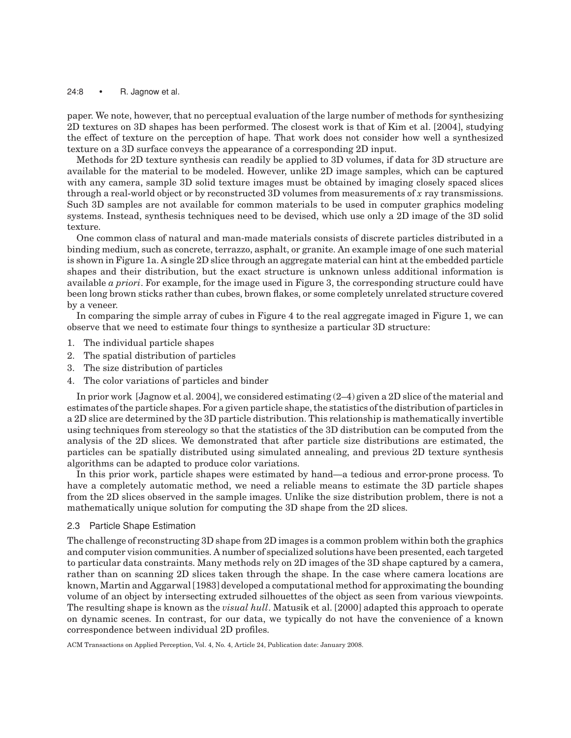### 24:8 • R. Jagnow et al.

paper. We note, however, that no perceptual evaluation of the large number of methods for synthesizing 2D textures on 3D shapes has been performed. The closest work is that of Kim et al. [2004], studying the effect of texture on the perception of hape. That work does not consider how well a synthesized texture on a 3D surface conveys the appearance of a corresponding 2D input.

Methods for 2D texture synthesis can readily be applied to 3D volumes, if data for 3D structure are available for the material to be modeled. However, unlike 2D image samples, which can be captured with any camera, sample 3D solid texture images must be obtained by imaging closely spaced slices through a real-world object or by reconstructed 3D volumes from measurements of *x* ray transmissions. Such 3D samples are not available for common materials to be used in computer graphics modeling systems. Instead, synthesis techniques need to be devised, which use only a 2D image of the 3D solid texture.

One common class of natural and man-made materials consists of discrete particles distributed in a binding medium, such as concrete, terrazzo, asphalt, or granite. An example image of one such material is shown in Figure 1a. A single 2D slice through an aggregate material can hint at the embedded particle shapes and their distribution, but the exact structure is unknown unless additional information is available *a priori*. For example, for the image used in Figure 3, the corresponding structure could have been long brown sticks rather than cubes, brown flakes, or some completely unrelated structure covered by a veneer.

In comparing the simple array of cubes in Figure 4 to the real aggregate imaged in Figure 1, we can observe that we need to estimate four things to synthesize a particular 3D structure:

- 1. The individual particle shapes
- 2. The spatial distribution of particles
- 3. The size distribution of particles
- 4. The color variations of particles and binder

In prior work [Jagnow et al. 2004], we considered estimating (2–4) given a 2D slice of the material and estimates of the particle shapes. For a given particle shape, the statistics of the distribution of particles in a 2D slice are determined by the 3D particle distribution. This relationship is mathematically invertible using techniques from stereology so that the statistics of the 3D distribution can be computed from the analysis of the 2D slices. We demonstrated that after particle size distributions are estimated, the particles can be spatially distributed using simulated annealing, and previous 2D texture synthesis algorithms can be adapted to produce color variations.

In this prior work, particle shapes were estimated by hand—a tedious and error-prone process. To have a completely automatic method, we need a reliable means to estimate the 3D particle shapes from the 2D slices observed in the sample images. Unlike the size distribution problem, there is not a mathematically unique solution for computing the 3D shape from the 2D slices.

#### 2.3 Particle Shape Estimation

The challenge of reconstructing 3D shape from 2D images is a common problem within both the graphics and computer vision communities. A number of specialized solutions have been presented, each targeted to particular data constraints. Many methods rely on 2D images of the 3D shape captured by a camera, rather than on scanning 2D slices taken through the shape. In the case where camera locations are known, Martin and Aggarwal [1983] developed a computational method for approximating the bounding volume of an object by intersecting extruded silhouettes of the object as seen from various viewpoints. The resulting shape is known as the *visual hull*. Matusik et al. [2000] adapted this approach to operate on dynamic scenes. In contrast, for our data, we typically do not have the convenience of a known correspondence between individual 2D profiles.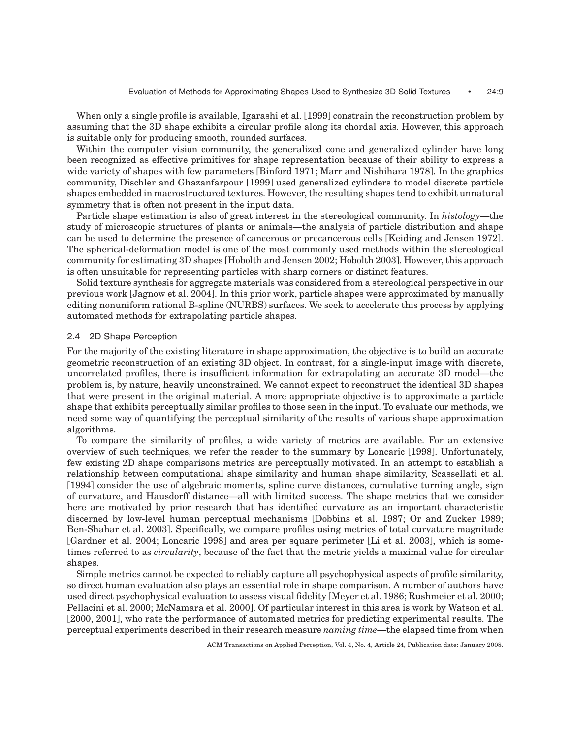When only a single profile is available, Igarashi et al. [1999] constrain the reconstruction problem by assuming that the 3D shape exhibits a circular profile along its chordal axis. However, this approach is suitable only for producing smooth, rounded surfaces.

Within the computer vision community, the generalized cone and generalized cylinder have long been recognized as effective primitives for shape representation because of their ability to express a wide variety of shapes with few parameters [Binford 1971; Marr and Nishihara 1978]. In the graphics community, Dischler and Ghazanfarpour [1999] used generalized cylinders to model discrete particle shapes embedded in macrostructured textures. However, the resulting shapes tend to exhibit unnatural symmetry that is often not present in the input data.

Particle shape estimation is also of great interest in the stereological community. In *histology*—the study of microscopic structures of plants or animals—the analysis of particle distribution and shape can be used to determine the presence of cancerous or precancerous cells [Keiding and Jensen 1972]. The spherical-deformation model is one of the most commonly used methods within the stereological community for estimating 3D shapes [Hobolth and Jensen 2002; Hobolth 2003]. However, this approach is often unsuitable for representing particles with sharp corners or distinct features.

Solid texture synthesis for aggregate materials was considered from a stereological perspective in our previous work [Jagnow et al. 2004]. In this prior work, particle shapes were approximated by manually editing nonuniform rational B-spline (NURBS) surfaces. We seek to accelerate this process by applying automated methods for extrapolating particle shapes.

### 2.4 2D Shape Perception

For the majority of the existing literature in shape approximation, the objective is to build an accurate geometric reconstruction of an existing 3D object. In contrast, for a single-input image with discrete, uncorrelated profiles, there is insufficient information for extrapolating an accurate 3D model—the problem is, by nature, heavily unconstrained. We cannot expect to reconstruct the identical 3D shapes that were present in the original material. A more appropriate objective is to approximate a particle shape that exhibits perceptually similar profiles to those seen in the input. To evaluate our methods, we need some way of quantifying the perceptual similarity of the results of various shape approximation algorithms.

To compare the similarity of profiles, a wide variety of metrics are available. For an extensive overview of such techniques, we refer the reader to the summary by Loncaric [1998]. Unfortunately, few existing 2D shape comparisons metrics are perceptually motivated. In an attempt to establish a relationship between computational shape similarity and human shape similarity, Scassellati et al. [1994] consider the use of algebraic moments, spline curve distances, cumulative turning angle, sign of curvature, and Hausdorff distance—all with limited success. The shape metrics that we consider here are motivated by prior research that has identified curvature as an important characteristic discerned by low-level human perceptual mechanisms [Dobbins et al. 1987; Or and Zucker 1989; Ben-Shahar et al. 2003]. Specifically, we compare profiles using metrics of total curvature magnitude [Gardner et al. 2004; Loncaric 1998] and area per square perimeter [Li et al. 2003], which is sometimes referred to as *circularity*, because of the fact that the metric yields a maximal value for circular shapes.

Simple metrics cannot be expected to reliably capture all psychophysical aspects of profile similarity, so direct human evaluation also plays an essential role in shape comparison. A number of authors have used direct psychophysical evaluation to assess visual fidelity [Meyer et al. 1986; Rushmeier et al. 2000; Pellacini et al. 2000; McNamara et al. 2000]. Of particular interest in this area is work by Watson et al. [2000, 2001], who rate the performance of automated metrics for predicting experimental results. The perceptual experiments described in their research measure *naming time*—the elapsed time from when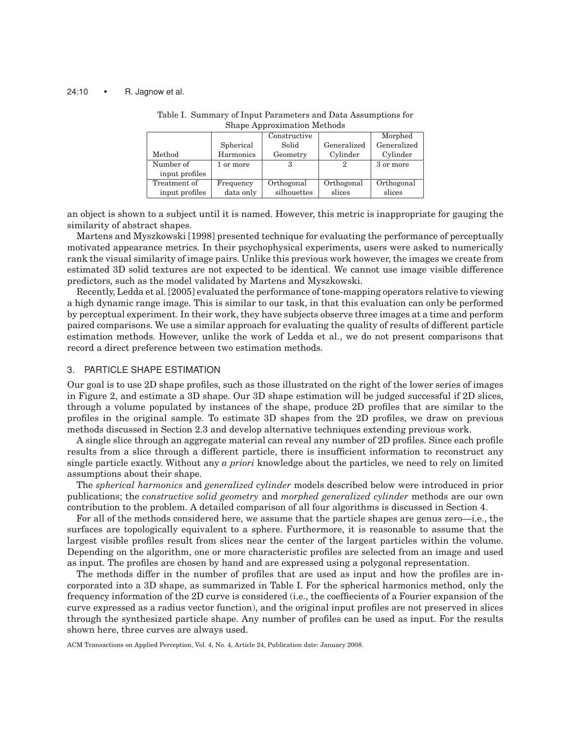## 24:10 • R. Jagnow et al.

| $\mu$ . The resultation measures |           |              |             |             |  |  |  |  |  |
|----------------------------------|-----------|--------------|-------------|-------------|--|--|--|--|--|
|                                  |           | Constructive |             | Morphed     |  |  |  |  |  |
|                                  | Spherical | Solid        | Generalized | Generalized |  |  |  |  |  |
| Method                           | Harmonics | Geometry     | Cylinder    | Cylinder    |  |  |  |  |  |
| Number of                        | 1 or more |              |             | 3 or more   |  |  |  |  |  |
| input profiles                   |           |              |             |             |  |  |  |  |  |
| Treatment of                     | Frequency | Orthogonal   | Orthogonal  | Orthogonal  |  |  |  |  |  |
| input profiles                   | data only | silhouettes  | slices      | slices      |  |  |  |  |  |

Table I. Summary of Input Parameters and Data Assumptions for Shape Approximation Methods

an object is shown to a subject until it is named. However, this metric is inappropriate for gauging the similarity of abstract shapes.

Martens and Myszkowski [1998] presented technique for evaluating the performance of perceptually motivated appearance metrics. In their psychophysical experiments, users were asked to numerically rank the visual similarity of image pairs. Unlike this previous work however, the images we create from estimated 3D solid textures are not expected to be identical. We cannot use image visible difference predictors, such as the model validated by Martens and Myszkowski.

Recently, Ledda et al. [2005] evaluated the performance of tone-mapping operators relative to viewing a high dynamic range image. This is similar to our task, in that this evaluation can only be performed by perceptual experiment. In their work, they have subjects observe three images at a time and perform paired comparisons. We use a similar approach for evaluating the quality of results of different particle estimation methods. However, unlike the work of Ledda et al., we do not present comparisons that record a direct preference between two estimation methods.

## 3. PARTICLE SHAPE ESTIMATION

Our goal is to use 2D shape profiles, such as those illustrated on the right of the lower series of images in Figure 2, and estimate a 3D shape. Our 3D shape estimation will be judged successful if 2D slices, through a volume populated by instances of the shape, produce 2D profiles that are similar to the profiles in the original sample. To estimate 3D shapes from the 2D profiles, we draw on previous methods discussed in Section 2.3 and develop alternative techniques extending previous work.

A single slice through an aggregate material can reveal any number of 2D profiles. Since each profile results from a slice through a different particle, there is insufficient information to reconstruct any single particle exactly. Without any *a priori* knowledge about the particles, we need to rely on limited assumptions about their shape.

The *spherical harmonics* and *generalized cylinder* models described below were introduced in prior publications; the *constructive solid geometry* and *morphed generalized cylinder* methods are our own contribution to the problem. A detailed comparison of all four algorithms is discussed in Section 4.

For all of the methods considered here, we assume that the particle shapes are genus zero—i.e., the surfaces are topologically equivalent to a sphere. Furthermore, it is reasonable to assume that the largest visible profiles result from slices near the center of the largest particles within the volume. Depending on the algorithm, one or more characteristic profiles are selected from an image and used as input. The profiles are chosen by hand and are expressed using a polygonal representation.

The methods differ in the number of profiles that are used as input and how the profiles are incorporated into a 3D shape, as summarized in Table I. For the spherical harmonics method, only the frequency information of the 2D curve is considered (i.e., the coeffiecients of a Fourier expansion of the curve expressed as a radius vector function), and the original input profiles are not preserved in slices through the synthesized particle shape. Any number of profiles can be used as input. For the results shown here, three curves are always used.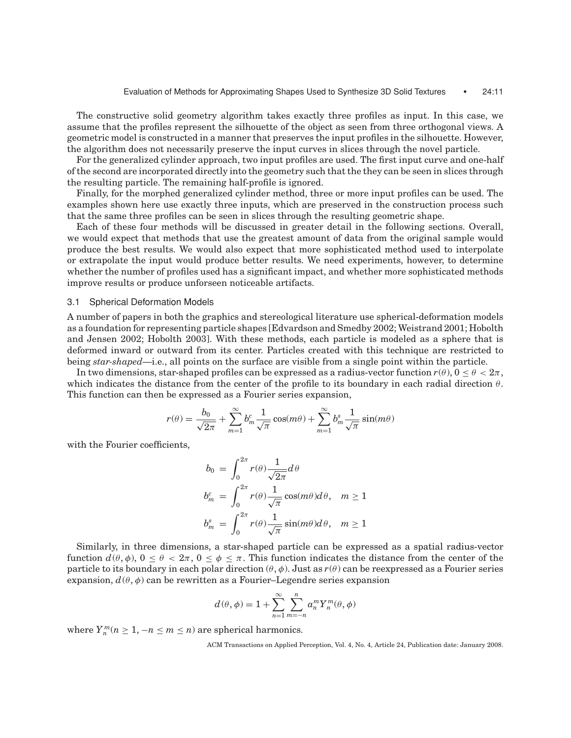The constructive solid geometry algorithm takes exactly three profiles as input. In this case, we assume that the profiles represent the silhouette of the object as seen from three orthogonal views. A geometric model is constructed in a manner that preserves the input profiles in the silhouette. However, the algorithm does not necessarily preserve the input curves in slices through the novel particle.

For the generalized cylinder approach, two input profiles are used. The first input curve and one-half of the second are incorporated directly into the geometry such that the they can be seen in slices through the resulting particle. The remaining half-profile is ignored.

Finally, for the morphed generalized cylinder method, three or more input profiles can be used. The examples shown here use exactly three inputs, which are preserved in the construction process such that the same three profiles can be seen in slices through the resulting geometric shape.

Each of these four methods will be discussed in greater detail in the following sections. Overall, we would expect that methods that use the greatest amount of data from the original sample would produce the best results. We would also expect that more sophisticated method used to interpolate or extrapolate the input would produce better results. We need experiments, however, to determine whether the number of profiles used has a significant impact, and whether more sophisticated methods improve results or produce unforseen noticeable artifacts.

#### 3.1 Spherical Deformation Models

A number of papers in both the graphics and stereological literature use spherical-deformation models as a foundation for representing particle shapes [Edvardson and Smedby 2002; Weistrand 2001; Hobolth and Jensen 2002; Hobolth 2003]. With these methods, each particle is modeled as a sphere that is deformed inward or outward from its center. Particles created with this technique are restricted to being *star-shaped*—i.e., all points on the surface are visible from a single point within the particle.

In two dimensions, star-shaped profiles can be expressed as a radius-vector function  $r(\theta)$ ,  $0 \le \theta < 2\pi$ , which indicates the distance from the center of the profile to its boundary in each radial direction  $\theta$ . This function can then be expressed as a Fourier series expansion,

$$
r(\theta) = \frac{b_0}{\sqrt{2\pi}} + \sum_{m=1}^{\infty} b_m^c \frac{1}{\sqrt{\pi}} \cos(m\theta) + \sum_{m=1}^{\infty} b_m^s \frac{1}{\sqrt{\pi}} \sin(m\theta)
$$

with the Fourier coefficients,

$$
b_0 = \int_0^{2\pi} r(\theta) \frac{1}{\sqrt{2\pi}} d\theta
$$
  
\n
$$
b_m^c = \int_0^{2\pi} r(\theta) \frac{1}{\sqrt{\pi}} \cos(m\theta) d\theta, \quad m \ge 1
$$
  
\n
$$
b_m^s = \int_0^{2\pi} r(\theta) \frac{1}{\sqrt{\pi}} \sin(m\theta) d\theta, \quad m \ge 1
$$

Similarly, in three dimensions, a star-shaped particle can be expressed as a spatial radius-vector function  $d(\theta, \phi)$ ,  $0 \leq \theta < 2\pi$ ,  $0 \leq \phi \leq \pi$ . This function indicates the distance from the center of the particle to its boundary in each polar direction  $(\theta, \phi)$ . Just as  $r(\theta)$  can be reexpressed as a Fourier series expansion,  $d(\theta, \phi)$  can be rewritten as a Fourier–Legendre series expansion

$$
d(\theta, \phi) = 1 + \sum_{n=1}^{\infty} \sum_{m=-n}^{n} a_n^m Y_n^m(\theta, \phi)
$$

where  $Y_n^m (n \geq 1, -n \leq m \leq n)$  are spherical harmonics.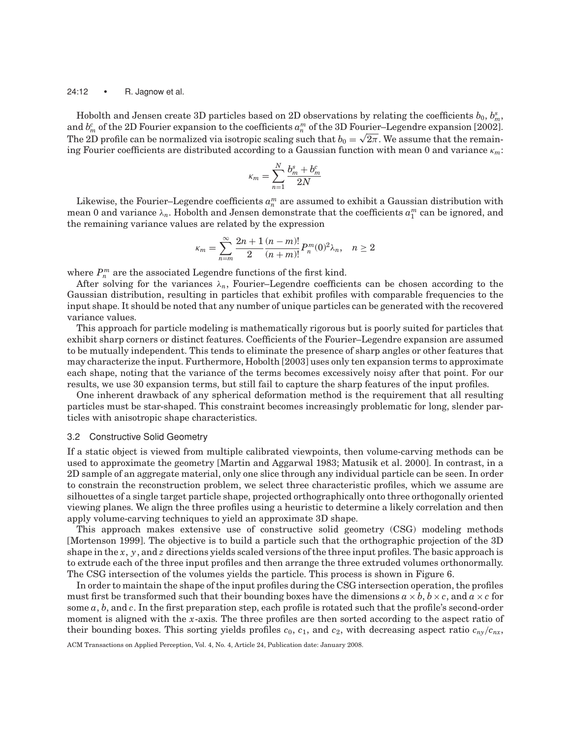### 24:12 • R. Jagnow et al.

Hobolth and Jensen create 3D particles based on 2D observations by relating the coefficients  $b_0$ ,  $b_m^s$ , and  $b_m^c$  of the 2D Fourier expansion to the coefficients  $a_n^m$  of the 3D Fourier–Legendre expansion [2002]. The 2D profile can be normalized via isotropic scaling such that  $b_0 = \sqrt{2\pi}$ . We assume that the remaining Fourier coefficients are distributed according to a Gaussian function with mean 0 and variance κ*m*:

$$
\kappa_m = \sum_{n=1}^N \frac{b_m^s + b_m^c}{2N}
$$

Likewise, the Fourier–Legendre coefficients  $a_n^m$  are assumed to exhibit a Gaussian distribution with mean 0 and variance  $\lambda_n$ . Hobolth and Jensen demonstrate that the coefficients  $a_1^m$  can be ignored, and the remaining variance values are related by the expression

$$
\kappa_m = \sum_{n=m}^{\infty} \frac{2n+1}{2} \frac{(n-m)!}{(n+m)!} P_n^m(0)^2 \lambda_n, \quad n \ge 2
$$

where  $P_n^m$  are the associated Legendre functions of the first kind.

After solving for the variances  $\lambda_n$ , Fourier–Legendre coefficients can be chosen according to the Gaussian distribution, resulting in particles that exhibit profiles with comparable frequencies to the input shape. It should be noted that any number of unique particles can be generated with the recovered variance values.

This approach for particle modeling is mathematically rigorous but is poorly suited for particles that exhibit sharp corners or distinct features. Coefficients of the Fourier–Legendre expansion are assumed to be mutually independent. This tends to eliminate the presence of sharp angles or other features that may characterize the input. Furthermore, Hobolth [2003] uses only ten expansion terms to approximate each shape, noting that the variance of the terms becomes excessively noisy after that point. For our results, we use 30 expansion terms, but still fail to capture the sharp features of the input profiles.

One inherent drawback of any spherical deformation method is the requirement that all resulting particles must be star-shaped. This constraint becomes increasingly problematic for long, slender particles with anisotropic shape characteristics.

### 3.2 Constructive Solid Geometry

If a static object is viewed from multiple calibrated viewpoints, then volume-carving methods can be used to approximate the geometry [Martin and Aggarwal 1983; Matusik et al. 2000]. In contrast, in a 2D sample of an aggregate material, only one slice through any individual particle can be seen. In order to constrain the reconstruction problem, we select three characteristic profiles, which we assume are silhouettes of a single target particle shape, projected orthographically onto three orthogonally oriented viewing planes. We align the three profiles using a heuristic to determine a likely correlation and then apply volume-carving techniques to yield an approximate 3D shape.

This approach makes extensive use of constructive solid geometry (CSG) modeling methods [Mortenson 1999]. The objective is to build a particle such that the orthographic projection of the 3D shape in the *x*, *y*, and *z* directions yields scaled versions of the three input profiles. The basic approach is to extrude each of the three input profiles and then arrange the three extruded volumes orthonormally. The CSG intersection of the volumes yields the particle. This process is shown in Figure 6.

In order to maintain the shape of the input profiles during the CSG intersection operation, the profiles must first be transformed such that their bounding boxes have the dimensions  $a \times b$ ,  $b \times c$ , and  $a \times c$  for some *a*, *b*, and *c*. In the first preparation step, each profile is rotated such that the profile's second-order moment is aligned with the *x*-axis. The three profiles are then sorted according to the aspect ratio of their bounding boxes. This sorting yields profiles  $c_0$ ,  $c_1$ , and  $c_2$ , with decreasing aspect ratio  $c_{ny}/c_{nx}$ ,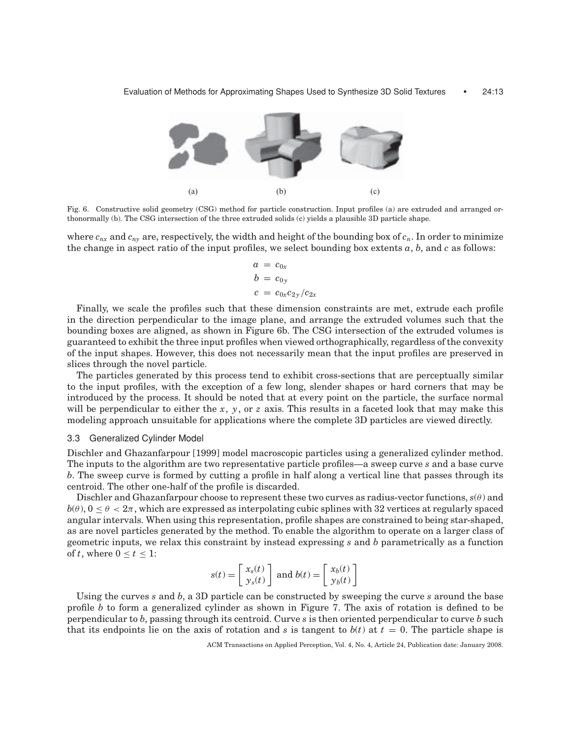

Fig. 6. Constructive solid geometry (CSG) method for particle construction. Input profiles (a) are extruded and arranged orthonormally (b). The CSG intersection of the three extruded solids (c) yields a plausible 3D particle shape.

where  $c_{nx}$  and  $c_{ny}$  are, respectively, the width and height of the bounding box of  $c_n$ . In order to minimize the change in aspect ratio of the input profiles, we select bounding box extents *a*, *b*, and *c* as follows:

$$
a = c_{0x}
$$
  
\n
$$
b = c_{0y}
$$
  
\n
$$
c = c_{0x}c_{2y}/c_{2x}
$$

Finally, we scale the profiles such that these dimension constraints are met, extrude each profile in the direction perpendicular to the image plane, and arrange the extruded volumes such that the bounding boxes are aligned, as shown in Figure 6b. The CSG intersection of the extruded volumes is guaranteed to exhibit the three input profiles when viewed orthographically, regardless of the convexity of the input shapes. However, this does not necessarily mean that the input profiles are preserved in slices through the novel particle.

The particles generated by this process tend to exhibit cross-sections that are perceptually similar to the input profiles, with the exception of a few long, slender shapes or hard corners that may be introduced by the process. It should be noted that at every point on the particle, the surface normal will be perpendicular to either the *x*, *y*, or *z* axis. This results in a faceted look that may make this modeling approach unsuitable for applications where the complete 3D particles are viewed directly.

#### 3.3 Generalized Cylinder Model

Dischler and Ghazanfarpour [1999] model macroscopic particles using a generalized cylinder method. The inputs to the algorithm are two representative particle profiles—a sweep curve *s* and a base curve *b*. The sweep curve is formed by cutting a profile in half along a vertical line that passes through its centroid. The other one-half of the profile is discarded.

Dischler and Ghazanfarpour choose to represent these two curves as radius-vector functions,  $s(\theta)$  and  $b(\theta)$ ,  $0 \le \theta \le 2\pi$ , which are expressed as interpolating cubic splines with 32 vertices at regularly spaced angular intervals. When using this representation, profile shapes are constrained to being star-shaped, as are novel particles generated by the method. To enable the algorithm to operate on a larger class of geometric inputs, we relax this constraint by instead expressing *s* and *b* parametrically as a function of *t*, where  $0 \le t \le 1$ :

$$
s(t) = \begin{bmatrix} x_s(t) \\ y_s(t) \end{bmatrix}
$$
 and 
$$
b(t) = \begin{bmatrix} x_b(t) \\ y_b(t) \end{bmatrix}
$$

Using the curves *s* and *b*, a 3D particle can be constructed by sweeping the curve *s* around the base profile *b* to form a generalized cylinder as shown in Figure 7. The axis of rotation is defined to be perpendicular to *b*, passing through its centroid. Curve *s* is then oriented perpendicular to curve *b* such that its endpoints lie on the axis of rotation and *s* is tangent to  $b(t)$  at  $t = 0$ . The particle shape is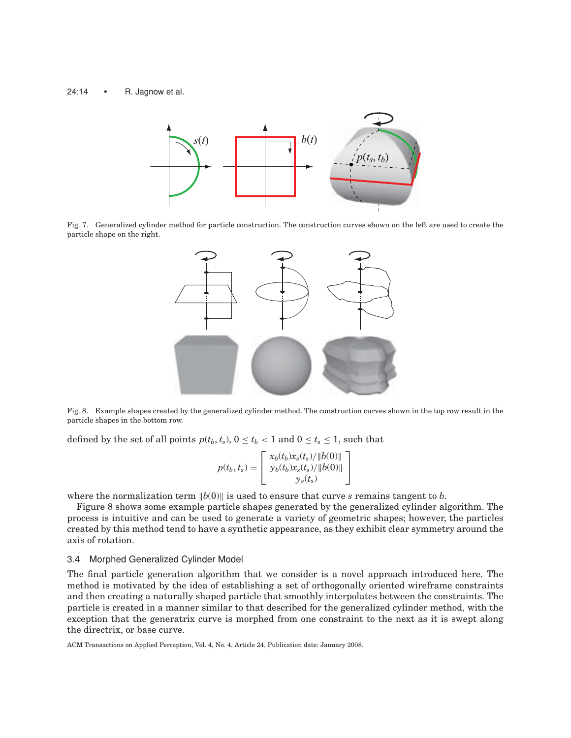## 24:14 • R. Jagnow et al.



Fig. 7. Generalized cylinder method for particle construction. The construction curves shown on the left are used to create the particle shape on the right.



Fig. 8. Example shapes created by the generalized cylinder method. The construction curves shown in the top row result in the particle shapes in the bottom row.

defined by the set of all points  $p(t_b, t_s)$ ,  $0 \le t_b < 1$  and  $0 \le t_s \le 1$ , such that

$$
p(t_b, t_s) = \left[\begin{array}{c} x_b(t_b) x_s(t_s) / \|b(0)\| \\ y_b(t_b) x_s(t_s) / \|b(0)\| \\ y_s(t_s) \end{array}\right]
$$

where the normalization term  $||b(0)||$  is used to ensure that curve *s* remains tangent to *b*.

Figure 8 shows some example particle shapes generated by the generalized cylinder algorithm. The process is intuitive and can be used to generate a variety of geometric shapes; however, the particles created by this method tend to have a synthetic appearance, as they exhibit clear symmetry around the axis of rotation.

## 3.4 Morphed Generalized Cylinder Model

The final particle generation algorithm that we consider is a novel approach introduced here. The method is motivated by the idea of establishing a set of orthogonally oriented wireframe constraints and then creating a naturally shaped particle that smoothly interpolates between the constraints. The particle is created in a manner similar to that described for the generalized cylinder method, with the exception that the generatrix curve is morphed from one constraint to the next as it is swept along the directrix, or base curve.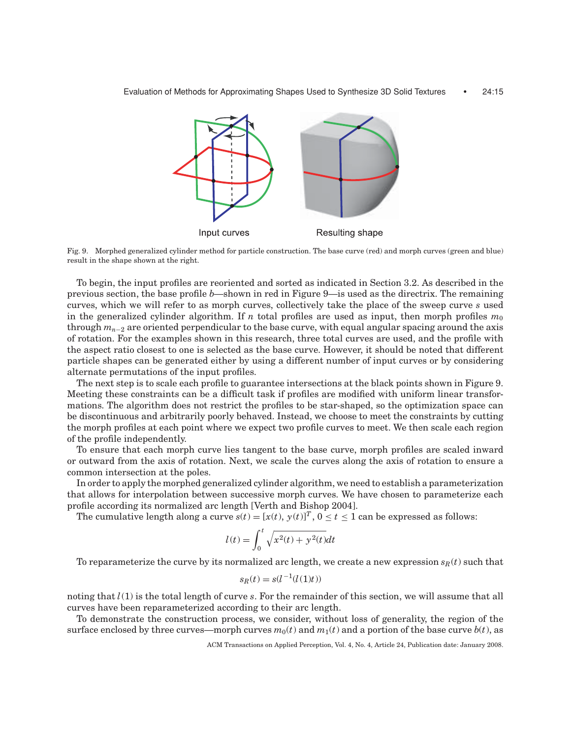

Fig. 9. Morphed generalized cylinder method for particle construction. The base curve (red) and morph curves (green and blue) result in the shape shown at the right.

To begin, the input profiles are reoriented and sorted as indicated in Section 3.2. As described in the previous section, the base profile *b*—shown in red in Figure 9—is used as the directrix. The remaining curves, which we will refer to as morph curves, collectively take the place of the sweep curve *s* used in the generalized cylinder algorithm. If *n* total profiles are used as input, then morph profiles  $m_0$ through *mn*−<sup>2</sup> are oriented perpendicular to the base curve, with equal angular spacing around the axis of rotation. For the examples shown in this research, three total curves are used, and the profile with the aspect ratio closest to one is selected as the base curve. However, it should be noted that different particle shapes can be generated either by using a different number of input curves or by considering alternate permutations of the input profiles.

The next step is to scale each profile to guarantee intersections at the black points shown in Figure 9. Meeting these constraints can be a difficult task if profiles are modified with uniform linear transformations. The algorithm does not restrict the profiles to be star-shaped, so the optimization space can be discontinuous and arbitrarily poorly behaved. Instead, we choose to meet the constraints by cutting the morph profiles at each point where we expect two profile curves to meet. We then scale each region of the profile independently.

To ensure that each morph curve lies tangent to the base curve, morph profiles are scaled inward or outward from the axis of rotation. Next, we scale the curves along the axis of rotation to ensure a common intersection at the poles.

In order to apply the morphed generalized cylinder algorithm, we need to establish a parameterization that allows for interpolation between successive morph curves. We have chosen to parameterize each profile according its normalized arc length [Verth and Bishop 2004].

The cumulative length along a curve  $s(t) = [x(t), y(t)]^T$ ,  $0 \le t \le 1$  can be expressed as follows:

$$
l(t) = \int_0^t \sqrt{x^2(t) + y^2(t)}dt
$$

To reparameterize the curve by its normalized arc length, we create a new expression  $s_R(t)$  such that

$$
s_R(t) = s(l^{-1}(l(1)t))
$$

noting that *l*(1) is the total length of curve *s*. For the remainder of this section, we will assume that all curves have been reparameterized according to their arc length.

To demonstrate the construction process, we consider, without loss of generality, the region of the surface enclosed by three curves—morph curves  $m_0(t)$  and  $m_1(t)$  and a portion of the base curve  $b(t)$ , as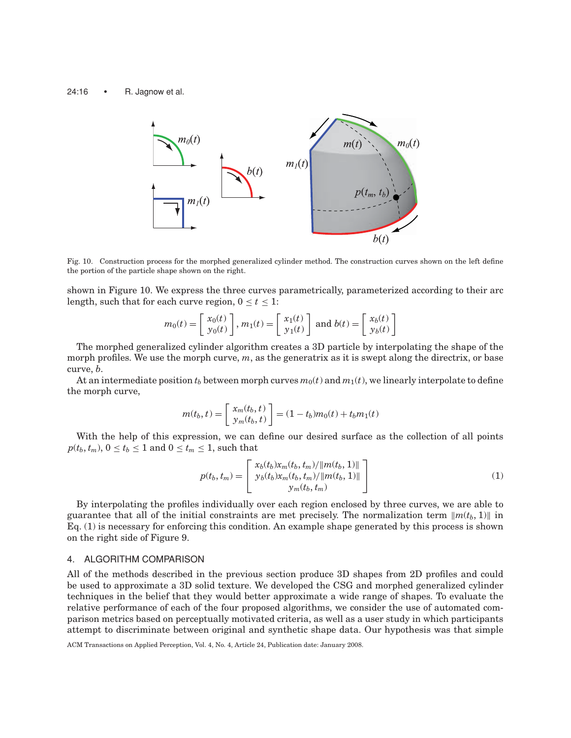

Fig. 10. Construction process for the morphed generalized cylinder method. The construction curves shown on the left define the portion of the particle shape shown on the right.

shown in Figure 10. We express the three curves parametrically, parameterized according to their arc length, such that for each curve region,  $0 \le t \le 1$ :

$$
m_0(t) = \begin{bmatrix} x_0(t) \\ y_0(t) \end{bmatrix}, m_1(t) = \begin{bmatrix} x_1(t) \\ y_1(t) \end{bmatrix} \text{ and } b(t) = \begin{bmatrix} x_b(t) \\ y_b(t) \end{bmatrix}
$$

The morphed generalized cylinder algorithm creates a 3D particle by interpolating the shape of the morph profiles. We use the morph curve, *m*, as the generatrix as it is swept along the directrix, or base curve, *b*.

At an intermediate position  $t_b$  between morph curves  $m_0(t)$  and  $m_1(t)$ , we linearly interpolate to define the morph curve,

$$
m(t_b, t) = \begin{bmatrix} x_m(t_b, t) \\ y_m(t_b, t) \end{bmatrix} = (1 - t_b) m_0(t) + t_b m_1(t)
$$

With the help of this expression, we can define our desired surface as the collection of all points  $p(t_b, t_m)$ ,  $0 \le t_b \le 1$  and  $0 \le t_m \le 1$ , such that

$$
p(t_b, t_m) = \begin{bmatrix} x_b(t_b) x_m(t_b, t_m) / ||m(t_b, 1)|| \\ y_b(t_b) x_m(t_b, t_m) / ||m(t_b, 1)|| \\ y_m(t_b, t_m) \end{bmatrix}
$$
(1)

By interpolating the profiles individually over each region enclosed by three curves, we are able to guarantee that all of the initial constraints are met precisely. The normalization term  $\|m(t_b, 1)\|$  in Eq. (1) is necessary for enforcing this condition. An example shape generated by this process is shown on the right side of Figure 9.

## 4. ALGORITHM COMPARISON

All of the methods described in the previous section produce 3D shapes from 2D profiles and could be used to approximate a 3D solid texture. We developed the CSG and morphed generalized cylinder techniques in the belief that they would better approximate a wide range of shapes. To evaluate the relative performance of each of the four proposed algorithms, we consider the use of automated comparison metrics based on perceptually motivated criteria, as well as a user study in which participants attempt to discriminate between original and synthetic shape data. Our hypothesis was that simple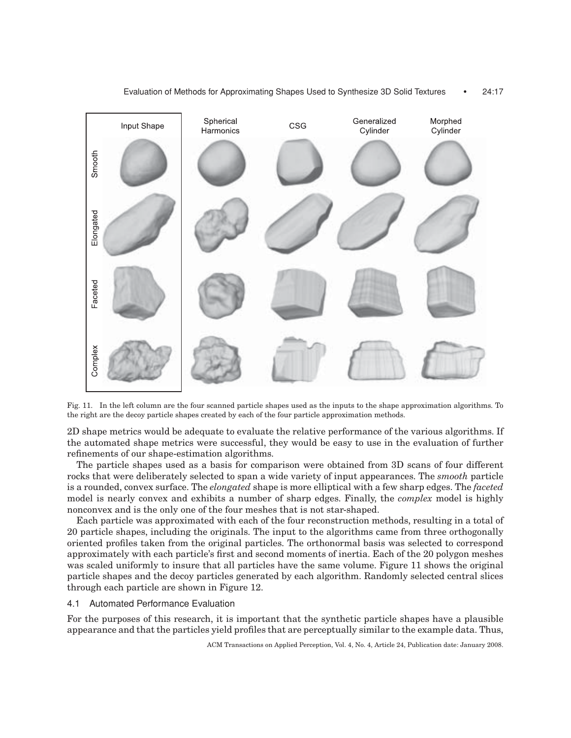

Evaluation of Methods for Approximating Shapes Used to Synthesize 3D Solid Textures • 24:17

Fig. 11. In the left column are the four scanned particle shapes used as the inputs to the shape approximation algorithms. To the right are the decoy particle shapes created by each of the four particle approximation methods.

2D shape metrics would be adequate to evaluate the relative performance of the various algorithms. If the automated shape metrics were successful, they would be easy to use in the evaluation of further refinements of our shape-estimation algorithms.

The particle shapes used as a basis for comparison were obtained from 3D scans of four different rocks that were deliberately selected to span a wide variety of input appearances. The *smooth* particle is a rounded, convex surface. The *elongated* shape is more elliptical with a few sharp edges. The *faceted* model is nearly convex and exhibits a number of sharp edges. Finally, the *complex* model is highly nonconvex and is the only one of the four meshes that is not star-shaped.

Each particle was approximated with each of the four reconstruction methods, resulting in a total of 20 particle shapes, including the originals. The input to the algorithms came from three orthogonally oriented profiles taken from the original particles. The orthonormal basis was selected to correspond approximately with each particle's first and second moments of inertia. Each of the 20 polygon meshes was scaled uniformly to insure that all particles have the same volume. Figure 11 shows the original particle shapes and the decoy particles generated by each algorithm. Randomly selected central slices through each particle are shown in Figure 12.

## 4.1 Automated Performance Evaluation

For the purposes of this research, it is important that the synthetic particle shapes have a plausible appearance and that the particles yield profiles that are perceptually similar to the example data. Thus,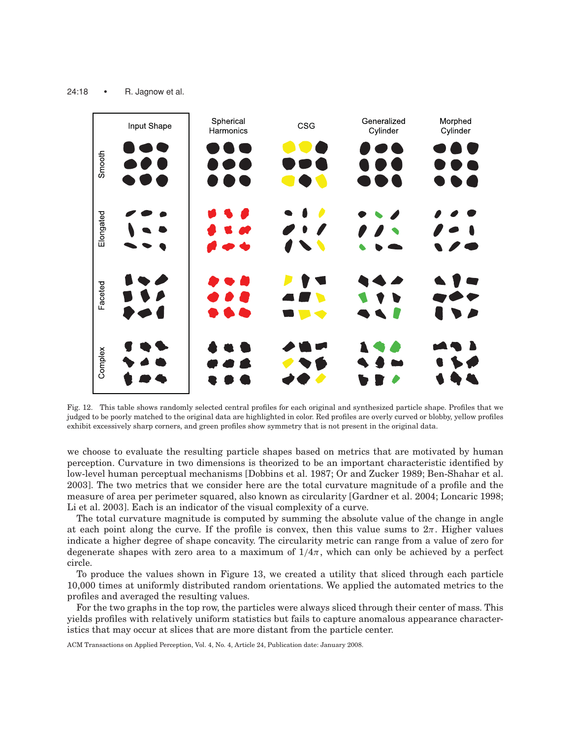



Fig. 12. This table shows randomly selected central profiles for each original and synthesized particle shape. Profiles that we judged to be poorly matched to the original data are highlighted in color. Red profiles are overly curved or blobby, yellow profiles exhibit excessively sharp corners, and green profiles show symmetry that is not present in the original data.

we choose to evaluate the resulting particle shapes based on metrics that are motivated by human perception. Curvature in two dimensions is theorized to be an important characteristic identified by low-level human perceptual mechanisms [Dobbins et al. 1987; Or and Zucker 1989; Ben-Shahar et al. 2003]. The two metrics that we consider here are the total curvature magnitude of a profile and the measure of area per perimeter squared, also known as circularity [Gardner et al. 2004; Loncaric 1998; Li et al. 2003]. Each is an indicator of the visual complexity of a curve.

The total curvature magnitude is computed by summing the absolute value of the change in angle at each point along the curve. If the profile is convex, then this value sums to  $2\pi$ . Higher values indicate a higher degree of shape concavity. The circularity metric can range from a value of zero for degenerate shapes with zero area to a maximum of  $1/4\pi$ , which can only be achieved by a perfect circle.

To produce the values shown in Figure 13, we created a utility that sliced through each particle 10,000 times at uniformly distributed random orientations. We applied the automated metrics to the profiles and averaged the resulting values.

For the two graphs in the top row, the particles were always sliced through their center of mass. This yields profiles with relatively uniform statistics but fails to capture anomalous appearance characteristics that may occur at slices that are more distant from the particle center.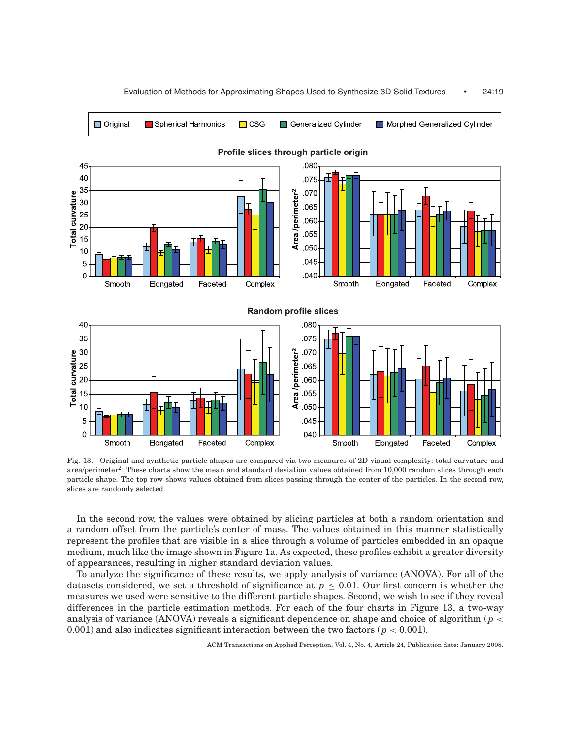

Fig. 13. Original and synthetic particle shapes are compared via two measures of 2D visual complexity: total curvature and area/perimeter<sup>2</sup>. These charts show the mean and standard deviation values obtained from  $10,000$  random slices through each particle shape. The top row shows values obtained from slices passing through the center of the particles. In the second row, slices are randomly selected.

In the second row, the values were obtained by slicing particles at both a random orientation and a random offset from the particle's center of mass. The values obtained in this manner statistically represent the profiles that are visible in a slice through a volume of particles embedded in an opaque medium, much like the image shown in Figure 1a. As expected, these profiles exhibit a greater diversity of appearances, resulting in higher standard deviation values.

To analyze the significance of these results, we apply analysis of variance (ANOVA). For all of the datasets considered, we set a threshold of significance at  $p < 0.01$ . Our first concern is whether the measures we used were sensitive to the different particle shapes. Second, we wish to see if they reveal differences in the particle estimation methods. For each of the four charts in Figure 13, a two-way analysis of variance (ANOVA) reveals a significant dependence on shape and choice of algorithm (*p* < 0.001) and also indicates significant interaction between the two factors ( $p < 0.001$ ).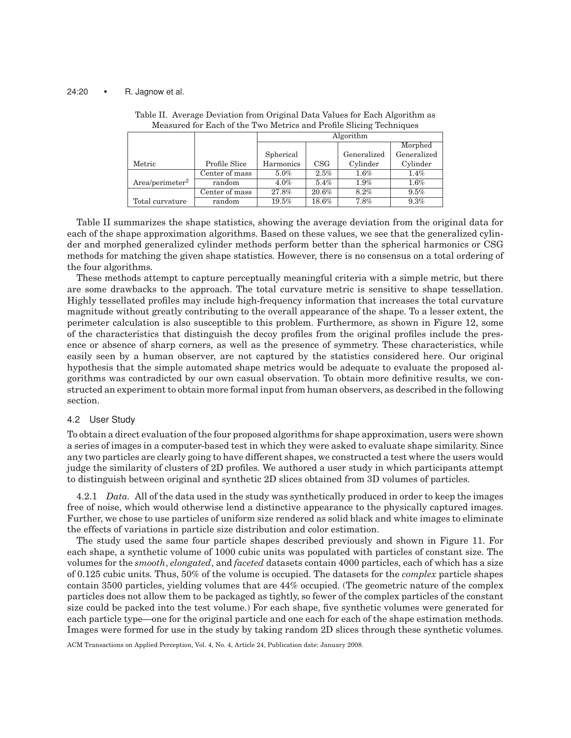## 24:20 • R. Jagnow et al.

|                             |                | Algorithm |          |             |             |  |  |
|-----------------------------|----------------|-----------|----------|-------------|-------------|--|--|
|                             |                |           |          |             | Morphed     |  |  |
|                             |                | Spherical |          | Generalized | Generalized |  |  |
| Metric                      | Profile Slice  | Harmonics | CSG      | Cylinder    | Cylinder    |  |  |
|                             | Center of mass | 5.0%      | 2.5%     | $1.6\%$     | $1.4\%$     |  |  |
| Area/perimeter <sup>2</sup> | random         | $4.0\%$   | $5.4\%$  | 1.9%        | $1.6\%$     |  |  |
|                             | Center of mass | 27.8%     | 20.6%    | 8.2%        | 9.5%        |  |  |
| Total curvature             | random         | 19.5%     | $18.6\%$ | 7.8%        | 9.3%        |  |  |

Table II. Average Deviation from Original Data Values for Each Algorithm as Measured for Each of the Two Metrics and Profile Slicing Techniques

Table II summarizes the shape statistics, showing the average deviation from the original data for each of the shape approximation algorithms. Based on these values, we see that the generalized cylinder and morphed generalized cylinder methods perform better than the spherical harmonics or CSG methods for matching the given shape statistics. However, there is no consensus on a total ordering of the four algorithms.

These methods attempt to capture perceptually meaningful criteria with a simple metric, but there are some drawbacks to the approach. The total curvature metric is sensitive to shape tessellation. Highly tessellated profiles may include high-frequency information that increases the total curvature magnitude without greatly contributing to the overall appearance of the shape. To a lesser extent, the perimeter calculation is also susceptible to this problem. Furthermore, as shown in Figure 12, some of the characteristics that distinguish the decoy profiles from the original profiles include the presence or absence of sharp corners, as well as the presence of symmetry. These characteristics, while easily seen by a human observer, are not captured by the statistics considered here. Our original hypothesis that the simple automated shape metrics would be adequate to evaluate the proposed algorithms was contradicted by our own casual observation. To obtain more definitive results, we constructed an experiment to obtain more formal input from human observers, as described in the following section.

## 4.2 User Study

To obtain a direct evaluation of the four proposed algorithms for shape approximation, users were shown a series of images in a computer-based test in which they were asked to evaluate shape similarity. Since any two particles are clearly going to have different shapes, we constructed a test where the users would judge the similarity of clusters of 2D profiles. We authored a user study in which participants attempt to distinguish between original and synthetic 2D slices obtained from 3D volumes of particles.

4.2.1 *Data.* All of the data used in the study was synthetically produced in order to keep the images free of noise, which would otherwise lend a distinctive appearance to the physically captured images. Further, we chose to use particles of uniform size rendered as solid black and white images to eliminate the effects of variations in particle size distribution and color estimation.

The study used the same four particle shapes described previously and shown in Figure 11. For each shape, a synthetic volume of 1000 cubic units was populated with particles of constant size. The volumes for the *smooth*, *elongated*, and *faceted* datasets contain 4000 particles, each of which has a size of 0.125 cubic units. Thus, 50% of the volume is occupied. The datasets for the *complex* particle shapes contain 3500 particles, yielding volumes that are 44% occupied. (The geometric nature of the complex particles does not allow them to be packaged as tightly, so fewer of the complex particles of the constant size could be packed into the test volume.) For each shape, five synthetic volumes were generated for each particle type—one for the original particle and one each for each of the shape estimation methods. Images were formed for use in the study by taking random 2D slices through these synthetic volumes.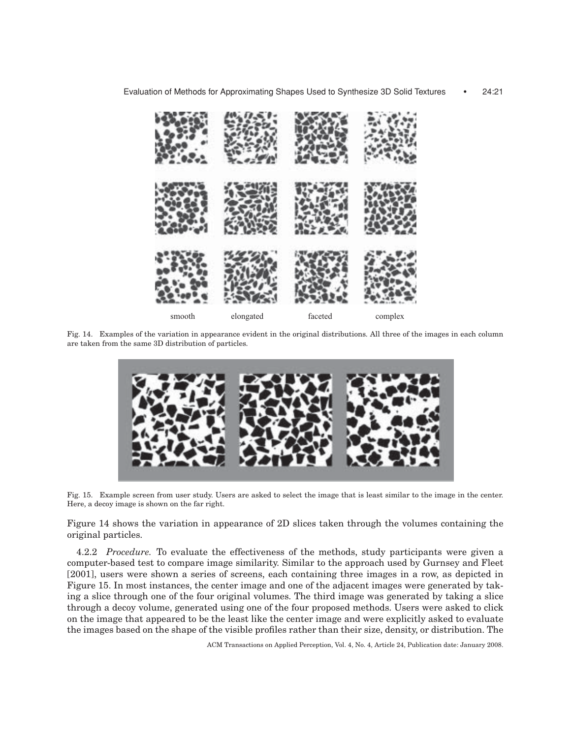Evaluation of Methods for Approximating Shapes Used to Synthesize 3D Solid Textures • 24:21



Fig. 14. Examples of the variation in appearance evident in the original distributions. All three of the images in each column are taken from the same 3D distribution of particles.



Fig. 15. Example screen from user study. Users are asked to select the image that is least similar to the image in the center. Here, a decoy image is shown on the far right.

Figure 14 shows the variation in appearance of 2D slices taken through the volumes containing the original particles.

4.2.2 *Procedure.* To evaluate the effectiveness of the methods, study participants were given a computer-based test to compare image similarity. Similar to the approach used by Gurnsey and Fleet [2001], users were shown a series of screens, each containing three images in a row, as depicted in Figure 15. In most instances, the center image and one of the adjacent images were generated by taking a slice through one of the four original volumes. The third image was generated by taking a slice through a decoy volume, generated using one of the four proposed methods. Users were asked to click on the image that appeared to be the least like the center image and were explicitly asked to evaluate the images based on the shape of the visible profiles rather than their size, density, or distribution. The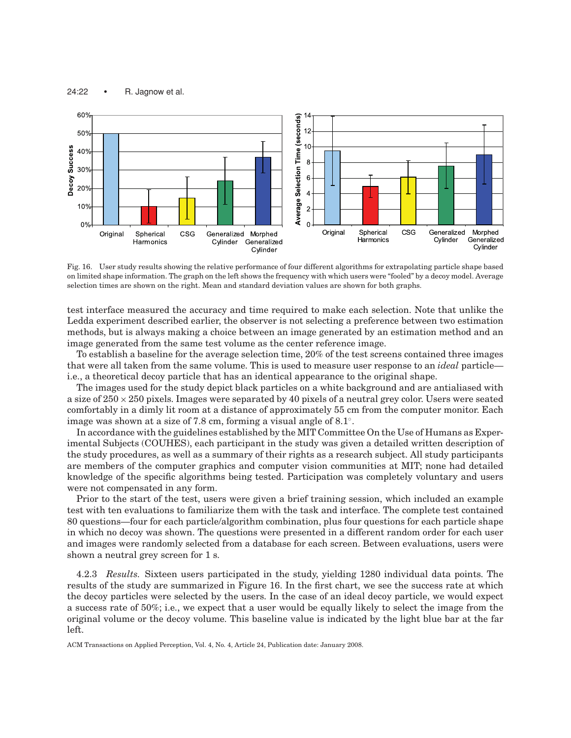



Fig. 16. User study results showing the relative performance of four different algorithms for extrapolating particle shape based on limited shape information. The graph on the left shows the frequency with which users were "fooled" by a decoy model. Average selection times are shown on the right. Mean and standard deviation values are shown for both graphs.

test interface measured the accuracy and time required to make each selection. Note that unlike the Ledda experiment described earlier, the observer is not selecting a preference between two estimation methods, but is always making a choice between an image generated by an estimation method and an image generated from the same test volume as the center reference image.

To establish a baseline for the average selection time, 20% of the test screens contained three images that were all taken from the same volume. This is used to measure user response to an *ideal* particle i.e., a theoretical decoy particle that has an identical appearance to the original shape.

The images used for the study depict black particles on a white background and are antialiased with a size of  $250 \times 250$  pixels. Images were separated by 40 pixels of a neutral grey color. Users were seated comfortably in a dimly lit room at a distance of approximately 55 cm from the computer monitor. Each image was shown at a size of 7.8 cm, forming a visual angle of 8.1◦.

In accordance with the guidelines established by the MIT Committee On the Use of Humans as Experimental Subjects (COUHES), each participant in the study was given a detailed written description of the study procedures, as well as a summary of their rights as a research subject. All study participants are members of the computer graphics and computer vision communities at MIT; none had detailed knowledge of the specific algorithms being tested. Participation was completely voluntary and users were not compensated in any form.

Prior to the start of the test, users were given a brief training session, which included an example test with ten evaluations to familiarize them with the task and interface. The complete test contained 80 questions—four for each particle/algorithm combination, plus four questions for each particle shape in which no decoy was shown. The questions were presented in a different random order for each user and images were randomly selected from a database for each screen. Between evaluations, users were shown a neutral grey screen for 1 s.

4.2.3 *Results.* Sixteen users participated in the study, yielding 1280 individual data points. The results of the study are summarized in Figure 16. In the first chart, we see the success rate at which the decoy particles were selected by the users. In the case of an ideal decoy particle, we would expect a success rate of 50%; i.e., we expect that a user would be equally likely to select the image from the original volume or the decoy volume. This baseline value is indicated by the light blue bar at the far left.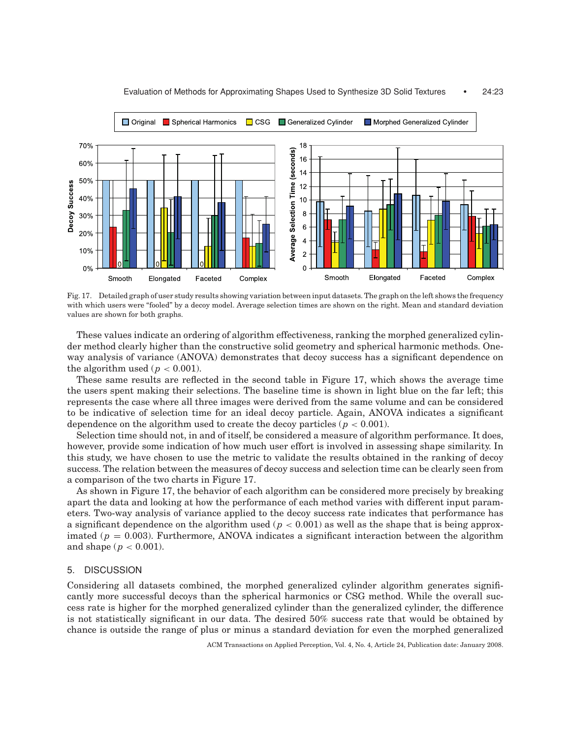

Fig. 17. Detailed graph of user study results showing variation between input datasets. The graph on the left shows the frequency with which users were "fooled" by a decoy model. Average selection times are shown on the right. Mean and standard deviation values are shown for both graphs.

These values indicate an ordering of algorithm effectiveness, ranking the morphed generalized cylinder method clearly higher than the constructive solid geometry and spherical harmonic methods. Oneway analysis of variance (ANOVA) demonstrates that decoy success has a significant dependence on the algorithm used ( $p < 0.001$ ).

These same results are reflected in the second table in Figure 17, which shows the average time the users spent making their selections. The baseline time is shown in light blue on the far left; this represents the case where all three images were derived from the same volume and can be considered to be indicative of selection time for an ideal decoy particle. Again, ANOVA indicates a significant dependence on the algorithm used to create the decoy particles ( $p < 0.001$ ).

Selection time should not, in and of itself, be considered a measure of algorithm performance. It does, however, provide some indication of how much user effort is involved in assessing shape similarity. In this study, we have chosen to use the metric to validate the results obtained in the ranking of decoy success. The relation between the measures of decoy success and selection time can be clearly seen from a comparison of the two charts in Figure 17.

As shown in Figure 17, the behavior of each algorithm can be considered more precisely by breaking apart the data and looking at how the performance of each method varies with different input parameters. Two-way analysis of variance applied to the decoy success rate indicates that performance has a significant dependence on the algorithm used ( $p < 0.001$ ) as well as the shape that is being approximated ( $p = 0.003$ ). Furthermore, ANOVA indicates a significant interaction between the algorithm and shape ( $p < 0.001$ ).

#### 5. DISCUSSION

Considering all datasets combined, the morphed generalized cylinder algorithm generates significantly more successful decoys than the spherical harmonics or CSG method. While the overall success rate is higher for the morphed generalized cylinder than the generalized cylinder, the difference is not statistically significant in our data. The desired 50% success rate that would be obtained by chance is outside the range of plus or minus a standard deviation for even the morphed generalized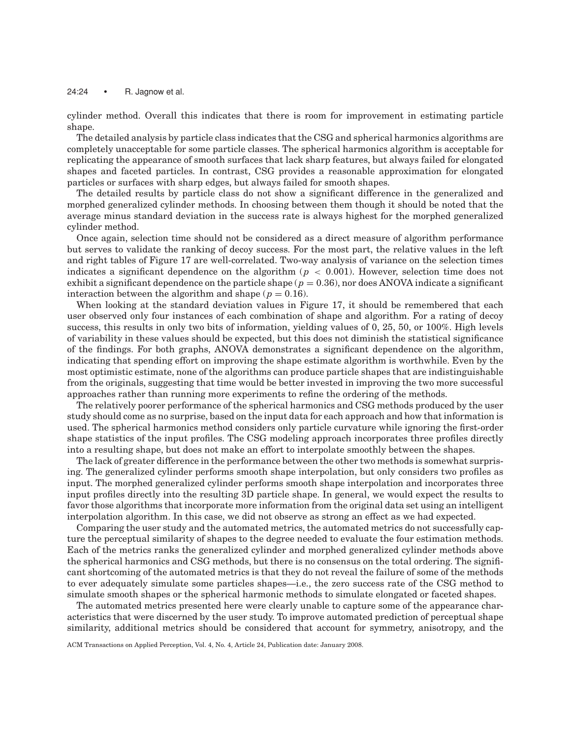### 24:24 • R. Jagnow et al.

cylinder method. Overall this indicates that there is room for improvement in estimating particle shape.

The detailed analysis by particle class indicates that the CSG and spherical harmonics algorithms are completely unacceptable for some particle classes. The spherical harmonics algorithm is acceptable for replicating the appearance of smooth surfaces that lack sharp features, but always failed for elongated shapes and faceted particles. In contrast, CSG provides a reasonable approximation for elongated particles or surfaces with sharp edges, but always failed for smooth shapes.

The detailed results by particle class do not show a significant difference in the generalized and morphed generalized cylinder methods. In choosing between them though it should be noted that the average minus standard deviation in the success rate is always highest for the morphed generalized cylinder method.

Once again, selection time should not be considered as a direct measure of algorithm performance but serves to validate the ranking of decoy success. For the most part, the relative values in the left and right tables of Figure 17 are well-correlated. Two-way analysis of variance on the selection times indicates a significant dependence on the algorithm ( $p < 0.001$ ). However, selection time does not exhibit a significant dependence on the particle shape  $(p = 0.36)$ , nor does ANOVA indicate a significant interaction between the algorithm and shape ( $p = 0.16$ ).

When looking at the standard deviation values in Figure 17, it should be remembered that each user observed only four instances of each combination of shape and algorithm. For a rating of decoy success, this results in only two bits of information, yielding values of 0, 25, 50, or 100%. High levels of variability in these values should be expected, but this does not diminish the statistical significance of the findings. For both graphs, ANOVA demonstrates a significant dependence on the algorithm, indicating that spending effort on improving the shape estimate algorithm is worthwhile. Even by the most optimistic estimate, none of the algorithms can produce particle shapes that are indistinguishable from the originals, suggesting that time would be better invested in improving the two more successful approaches rather than running more experiments to refine the ordering of the methods.

The relatively poorer performance of the spherical harmonics and CSG methods produced by the user study should come as no surprise, based on the input data for each approach and how that information is used. The spherical harmonics method considers only particle curvature while ignoring the first-order shape statistics of the input profiles. The CSG modeling approach incorporates three profiles directly into a resulting shape, but does not make an effort to interpolate smoothly between the shapes.

The lack of greater difference in the performance between the other two methods is somewhat surprising. The generalized cylinder performs smooth shape interpolation, but only considers two profiles as input. The morphed generalized cylinder performs smooth shape interpolation and incorporates three input profiles directly into the resulting 3D particle shape. In general, we would expect the results to favor those algorithms that incorporate more information from the original data set using an intelligent interpolation algorithm. In this case, we did not observe as strong an effect as we had expected.

Comparing the user study and the automated metrics, the automated metrics do not successfully capture the perceptual similarity of shapes to the degree needed to evaluate the four estimation methods. Each of the metrics ranks the generalized cylinder and morphed generalized cylinder methods above the spherical harmonics and CSG methods, but there is no consensus on the total ordering. The significant shortcoming of the automated metrics is that they do not reveal the failure of some of the methods to ever adequately simulate some particles shapes—i.e., the zero success rate of the CSG method to simulate smooth shapes or the spherical harmonic methods to simulate elongated or faceted shapes.

The automated metrics presented here were clearly unable to capture some of the appearance characteristics that were discerned by the user study. To improve automated prediction of perceptual shape similarity, additional metrics should be considered that account for symmetry, anisotropy, and the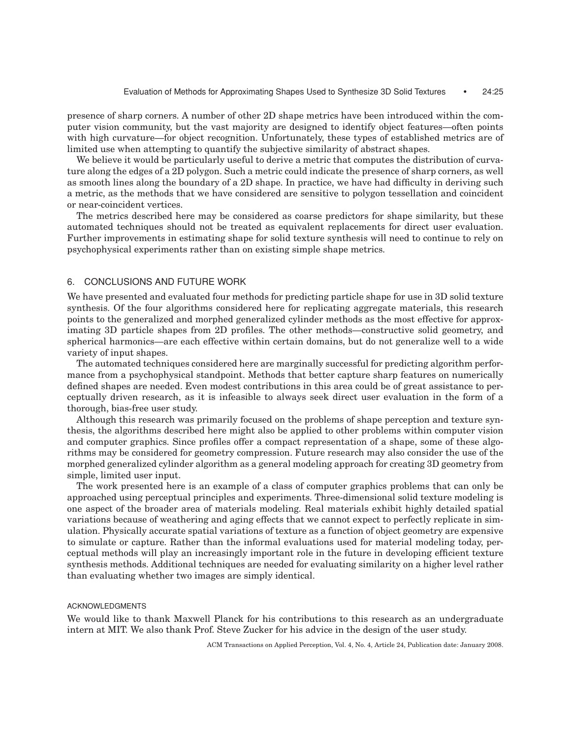presence of sharp corners. A number of other 2D shape metrics have been introduced within the computer vision community, but the vast majority are designed to identify object features—often points with high curvature—for object recognition. Unfortunately, these types of established metrics are of limited use when attempting to quantify the subjective similarity of abstract shapes.

We believe it would be particularly useful to derive a metric that computes the distribution of curvature along the edges of a 2D polygon. Such a metric could indicate the presence of sharp corners, as well as smooth lines along the boundary of a 2D shape. In practice, we have had difficulty in deriving such a metric, as the methods that we have considered are sensitive to polygon tessellation and coincident or near-coincident vertices.

The metrics described here may be considered as coarse predictors for shape similarity, but these automated techniques should not be treated as equivalent replacements for direct user evaluation. Further improvements in estimating shape for solid texture synthesis will need to continue to rely on psychophysical experiments rather than on existing simple shape metrics.

## 6. CONCLUSIONS AND FUTURE WORK

We have presented and evaluated four methods for predicting particle shape for use in 3D solid texture synthesis. Of the four algorithms considered here for replicating aggregate materials, this research points to the generalized and morphed generalized cylinder methods as the most effective for approximating 3D particle shapes from 2D profiles. The other methods—constructive solid geometry, and spherical harmonics—are each effective within certain domains, but do not generalize well to a wide variety of input shapes.

The automated techniques considered here are marginally successful for predicting algorithm performance from a psychophysical standpoint. Methods that better capture sharp features on numerically defined shapes are needed. Even modest contributions in this area could be of great assistance to perceptually driven research, as it is infeasible to always seek direct user evaluation in the form of a thorough, bias-free user study.

Although this research was primarily focused on the problems of shape perception and texture synthesis, the algorithms described here might also be applied to other problems within computer vision and computer graphics. Since profiles offer a compact representation of a shape, some of these algorithms may be considered for geometry compression. Future research may also consider the use of the morphed generalized cylinder algorithm as a general modeling approach for creating 3D geometry from simple, limited user input.

The work presented here is an example of a class of computer graphics problems that can only be approached using perceptual principles and experiments. Three-dimensional solid texture modeling is one aspect of the broader area of materials modeling. Real materials exhibit highly detailed spatial variations because of weathering and aging effects that we cannot expect to perfectly replicate in simulation. Physically accurate spatial variations of texture as a function of object geometry are expensive to simulate or capture. Rather than the informal evaluations used for material modeling today, perceptual methods will play an increasingly important role in the future in developing efficient texture synthesis methods. Additional techniques are needed for evaluating similarity on a higher level rather than evaluating whether two images are simply identical.

## ACKNOWLEDGMENTS

We would like to thank Maxwell Planck for his contributions to this research as an undergraduate intern at MIT. We also thank Prof. Steve Zucker for his advice in the design of the user study.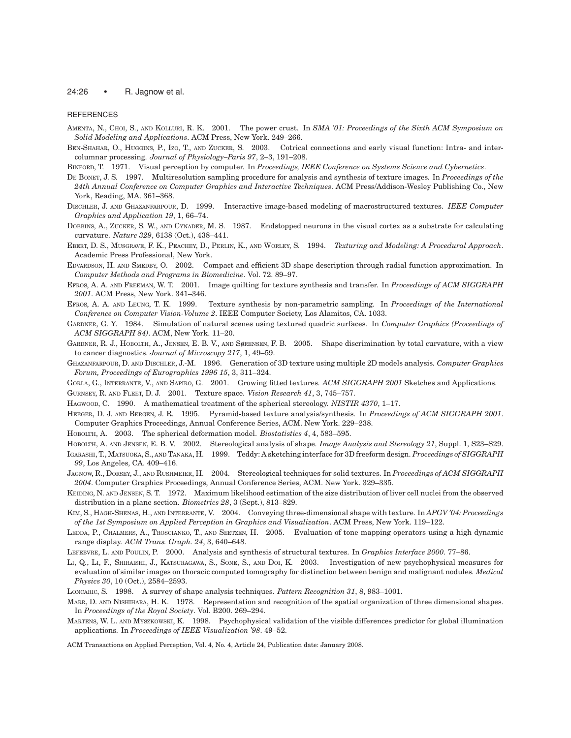#### 24:26 • R. Jagnow et al.

#### **REFERENCES**

- AMENTA, N., CHOI, S., AND KOLLURI, R. K. 2001. The power crust. In *SMA '01: Proceedings of the Sixth ACM Symposium on Solid Modeling and Applications*. ACM Press, New York. 249–266.
- BEN-SHAHAR, O., HUGGINS, P., IZO, T., AND ZUCKER, S. 2003. Cotrical connections and early visual function: Intra- and intercolumnar processing. *Journal of Physiology–Paris 97*, 2–3, 191–208.
- BINFORD, T. 1971. Visual perception by computer. In *Proceedings, IEEE Conference on Systems Science and Cybernetics*.
- DE BONET, J. S. 1997. Multiresolution sampling procedure for analysis and synthesis of texture images. In *Proceedings of the 24th Annual Conference on Computer Graphics and Interactive Techniques*. ACM Press/Addison-Wesley Publishing Co., New York, Reading, MA. 361–368.
- DISCHLER, J. AND GHAZANFARPOUR, D. 1999. Interactive image-based modeling of macrostructured textures. *IEEE Computer Graphics and Application 19*, 1, 66–74.
- DOBBINS, A., ZUCKER, S. W., AND CYNADER, M. S. 1987. Endstopped neurons in the visual cortex as a substrate for calculating curvature. *Nature 329*, 6138 (Oct.), 438–441.
- EBERT, D. S., MUSGRAVE, F. K., PEACHEY, D., PERLIN, K., AND WORLEY, S. 1994. *Texturing and Modeling: A Procedural Approach*. Academic Press Professional, New York.
- EDVARDSON, H. AND SMEDBY, O. 2002. Compact and efficient 3D shape description through radial function approximation. In *Computer Methods and Programs in Biomedicine*. Vol. 72. 89–97.
- EFROS, A. A. AND FREEMAN, W. T. 2001. Image quilting for texture synthesis and transfer. In *Proceedings of ACM SIGGRAPH 2001*. ACM Press, New York. 341–346.
- EFROS, A. A. AND LEUNG, T. K. 1999. Texture synthesis by non-parametric sampling. In *Proceedings of the International Conference on Computer Vision-Volume 2*. IEEE Computer Society, Los Alamitos, CA. 1033.
- GARDNER, G. Y. 1984. Simulation of natural scenes using textured quadric surfaces. In *Computer Graphics (Proceedings of ACM SIGGRAPH 84)*. ACM, New York. 11–20.
- GARDNER, R. J., HOBOLTH, A., JENSEN, E. B. V., AND SøRENSEN, F. B. 2005. Shape discrimination by total curvature, with a view to cancer diagnostics. *Journal of Microscopy 217*, 1, 49–59.
- GHAZANFARPOUR, D. AND DISCHLER, J.-M. 1996. Generation of 3D texture using multiple 2D models analysis. *Computer Graphics Forum, Proceedings of Eurographics 1996 15*, 3, 311–324.
- GORLA, G., INTERRANTE, V., AND SAPIRO, G. 2001. Growing fitted textures. *ACM SIGGRAPH 2001* Sketches and Applications.

GURNSEY, R. AND FLEET, D. J. 2001. Texture space. *Vision Research 41*, 3, 745–757.

- HAGWOOD, C. 1990. A mathematical treatment of the spherical stereology. *NISTIR 4370*, 1–17.
- HEEGER, D. J. AND BERGEN, J. R. 1995. Pyramid-based texture analysis/synthesis. In *Proceedings of ACM SIGGRAPH 2001*. Computer Graphics Proceedings, Annual Conference Series, ACM. New York. 229–238.
- HOBOLTH, A. 2003. The spherical deformation model. *Biostatistics 4*, 4, 583–595.
- HOBOLTH, A. AND JENSEN, E. B. V. 2002. Stereological analysis of shape. *Image Analysis and Stereology 21*, Suppl. 1, S23–S29.
- IGARASHI, T., MATSUOKA, S., AND TANAKA, H. 1999. Teddy: A sketching interface for 3D freeform design. *Proceedings of SIGGRAPH 99*, Los Angeles, CA. 409–416.
- JAGNOW, R., DORSEY, J., AND RUSHMEIER, H. 2004. Stereological techniques for solid textures. In *Proceedings of ACM SIGGRAPH 2004*. Computer Graphics Proceedings, Annual Conference Series, ACM. New York. 329–335.
- KEIDING, N. AND JENSEN, S. T. 1972. Maximum likelihood estimation of the size distribution of liver cell nuclei from the observed distribution in a plane section. *Biometrics 28*, 3 (Sept.), 813–829.
- KIM, S., HAGH-SHENAS, H., AND INTERRANTE, V. 2004. Conveying three-dimensional shape with texture. In *APGV '04: Proceedings of the 1st Symposium on Applied Perception in Graphics and Visualization*. ACM Press, New York. 119–122.
- LEDDA, P., CHALMERS, A., TROSCIANKO, T., AND SEETZEN, H. 2005. Evaluation of tone mapping operators using a high dynamic range display. *ACM Trans. Graph. 24*, 3, 640–648.
- LEFEBVRE, L. AND POULIN, P. 2000. Analysis and synthesis of structural textures. In *Graphics Interface 2000*. 77–86.
- LI, Q., LI, F., SHIRAISHI, J., KATSURAGAWA, S., SONE, S., AND DOI, K. 2003. Investigation of new psychophysical measures for evaluation of similar images on thoracic computed tomography for distinction between benign and malignant nodules. *Medical Physics 30*, 10 (Oct.), 2584–2593.
- LONCARIC, S. 1998. A survey of shape analysis techniques. *Pattern Recognition 31*, 8, 983–1001.
- MARR, D. AND NISHIHARA, H. K. 1978. Representation and recognition of the spatial organization of three dimensional shapes. In *Proceedings of the Royal Society*. Vol. B200. 269–294.
- MARTENS, W. L. AND MYSZKOWSKI, K. 1998. Psychophysical validation of the visible differences predictor for global illumination applications. In *Proceedings of IEEE Visualization '98*. 49–52.